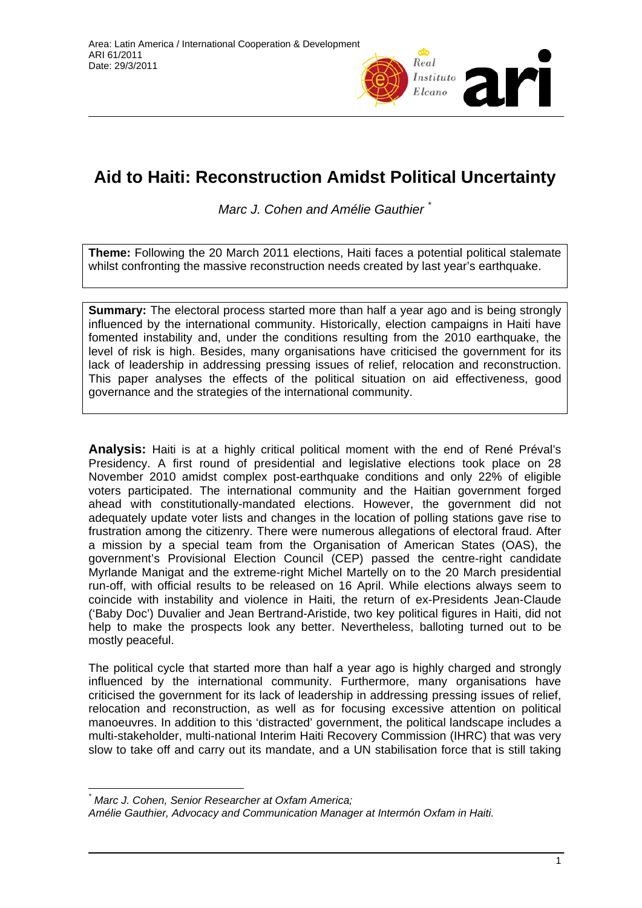

# **Aid to Haiti: Reconstruction Amidst Political Uncertainty**

*Marc J. Cohen and Amélie Gauthier* [\\*](#page-0-0)

**Theme:** Following the 20 March 2011 elections, Haiti faces a potential political stalemate whilst confronting the massive reconstruction needs created by last year's earthquake.

**Summary:** The electoral process started more than half a year ago and is being strongly influenced by the international community. Historically, election campaigns in Haiti have fomented instability and, under the conditions resulting from the 2010 earthquake, the level of risk is high. Besides, many organisations have criticised the government for its lack of leadership in addressing pressing issues of relief, relocation and reconstruction. This paper analyses the effects of the political situation on aid effectiveness, good governance and the strategies of the international community.

**Analysis:** Haiti is at a highly critical political moment with the end of René Préval's Presidency. A first round of presidential and legislative elections took place on 28 November 2010 amidst complex post-earthquake conditions and only 22% of eligible voters participated. The international community and the Haitian government forged ahead with constitutionally-mandated elections. However, the government did not adequately update voter lists and changes in the location of polling stations gave rise to frustration among the citizenry. There were numerous allegations of electoral fraud. After a mission by a special team from the Organisation of American States (OAS), the government's Provisional Election Council (CEP) passed the centre-right candidate Myrlande Manigat and the extreme-right Michel Martelly on to the 20 March presidential run-off, with official results to be released on 16 April. While elections always seem to coincide with instability and violence in Haiti, the return of ex-Presidents Jean-Claude ('Baby Doc') Duvalier and Jean Bertrand-Aristide, two key political figures in Haiti, did not help to make the prospects look any better. Nevertheless, balloting turned out to be mostly peaceful.

The political cycle that started more than half a year ago is highly charged and strongly influenced by the international community. Furthermore, many organisations have criticised the government for its lack of leadership in addressing pressing issues of relief, relocation and reconstruction, as well as for focusing excessive attention on political manoeuvres. In addition to this 'distracted' government, the political landscape includes a multi-stakeholder, multi-national Interim Haiti Recovery Commission (IHRC) that was very slow to take off and carry out its mandate, and a UN stabilisation force that is still taking

 $\overline{a}$ 

*<sup>\*</sup> Marc J. Cohen, Senior Researcher at Oxfam America;* 

<span id="page-0-0"></span>*Amélie Gauthier, Advocacy and Communication Manager at Intermón Oxfam in Haiti.*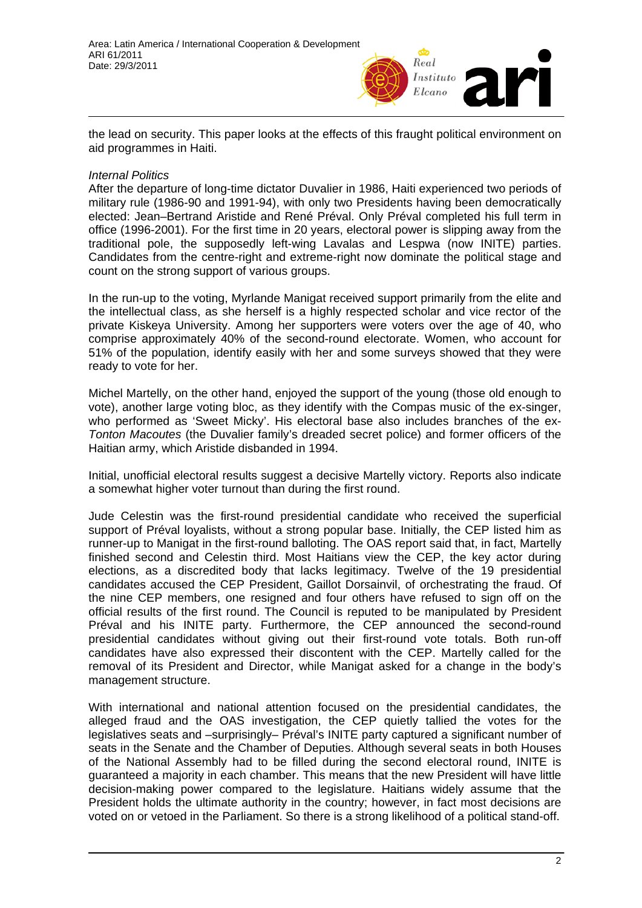

the lead on security. This paper looks at the effects of this fraught political environment on aid programmes in Haiti.

#### *Internal Politics*

After the departure of long-time dictator Duvalier in 1986, Haiti experienced two periods of military rule (1986-90 and 1991-94), with only two Presidents having been democratically elected: Jean–Bertrand Aristide and René Préval. Only Préval completed his full term in office (1996-2001). For the first time in 20 years, electoral power is slipping away from the traditional pole, the supposedly left-wing Lavalas and Lespwa (now INITE) parties. Candidates from the centre-right and extreme-right now dominate the political stage and count on the strong support of various groups.

In the run-up to the voting, Myrlande Manigat received support primarily from the elite and the intellectual class, as she herself is a highly respected scholar and vice rector of the private Kiskeya University. Among her supporters were voters over the age of 40, who comprise approximately 40% of the second-round electorate. Women, who account for 51% of the population, identify easily with her and some surveys showed that they were ready to vote for her.

Michel Martelly, on the other hand, enjoyed the support of the young (those old enough to vote), another large voting bloc, as they identify with the Compas music of the ex-singer, who performed as 'Sweet Micky'. His electoral base also includes branches of the ex-*Tonton Macoutes* (the Duvalier family's dreaded secret police) and former officers of the Haitian army, which Aristide disbanded in 1994.

Initial, unofficial electoral results suggest a decisive Martelly victory. Reports also indicate a somewhat higher voter turnout than during the first round.

Jude Celestin was the first-round presidential candidate who received the superficial support of Préval loyalists, without a strong popular base. Initially, the CEP listed him as runner-up to Manigat in the first-round balloting. The OAS report said that, in fact, Martelly finished second and Celestin third. Most Haitians view the CEP, the key actor during elections, as a discredited body that lacks legitimacy. Twelve of the 19 presidential candidates accused the CEP President, Gaillot Dorsainvil, of orchestrating the fraud. Of the nine CEP members, one resigned and four others have refused to sign off on the official results of the first round. The Council is reputed to be manipulated by President Préval and his INITE party. Furthermore, the CEP announced the second-round presidential candidates without giving out their first-round vote totals. Both run-off candidates have also expressed their discontent with the CEP. Martelly called for the removal of its President and Director, while Manigat asked for a change in the body's management structure.

With international and national attention focused on the presidential candidates, the alleged fraud and the OAS investigation, the CEP quietly tallied the votes for the legislatives seats and –surprisingly– Préval's INITE party captured a significant number of seats in the Senate and the Chamber of Deputies. Although several seats in both Houses of the National Assembly had to be filled during the second electoral round, INITE is guaranteed a majority in each chamber. This means that the new President will have little decision-making power compared to the legislature. Haitians widely assume that the President holds the ultimate authority in the country; however, in fact most decisions are voted on or vetoed in the Parliament. So there is a strong likelihood of a political stand-off.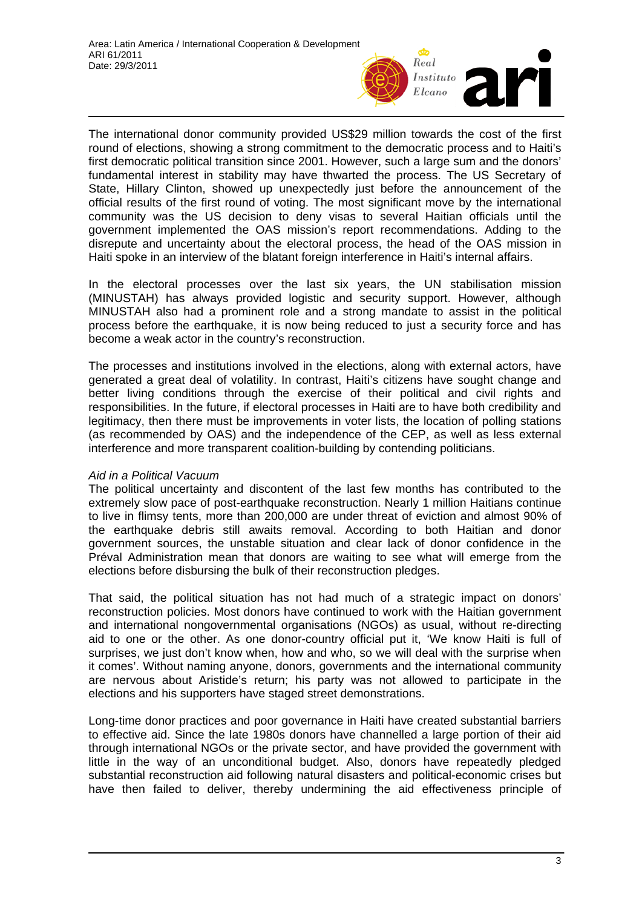

The international donor community provided US\$29 million towards the cost of the first round of elections, showing a strong commitment to the democratic process and to Haiti's first democratic political transition since 2001. However, such a large sum and the donors' fundamental interest in stability may have thwarted the process. The US Secretary of State, Hillary Clinton, showed up unexpectedly just before the announcement of the official results of the first round of voting. The most significant move by the international community was the US decision to deny visas to several Haitian officials until the government implemented the OAS mission's report recommendations. Adding to the disrepute and uncertainty about the electoral process, the head of the OAS mission in Haiti spoke in an interview of the blatant foreign interference in Haiti's internal affairs.

In the electoral processes over the last six years, the UN stabilisation mission (MINUSTAH) has always provided logistic and security support. However, although MINUSTAH also had a prominent role and a strong mandate to assist in the political process before the earthquake, it is now being reduced to just a security force and has become a weak actor in the country's reconstruction.

The processes and institutions involved in the elections, along with external actors, have generated a great deal of volatility. In contrast, Haiti's citizens have sought change and better living conditions through the exercise of their political and civil rights and responsibilities. In the future, if electoral processes in Haiti are to have both credibility and legitimacy, then there must be improvements in voter lists, the location of polling stations (as recommended by OAS) and the independence of the CEP, as well as less external interference and more transparent coalition-building by contending politicians.

## *Aid in a Political Vacuum*

The political uncertainty and discontent of the last few months has contributed to the extremely slow pace of post-earthquake reconstruction. Nearly 1 million Haitians continue to live in flimsy tents, more than 200,000 are under threat of eviction and almost 90% of the earthquake debris still awaits removal. According to both Haitian and donor government sources, the unstable situation and clear lack of donor confidence in the Préval Administration mean that donors are waiting to see what will emerge from the elections before disbursing the bulk of their reconstruction pledges.

That said, the political situation has not had much of a strategic impact on donors' reconstruction policies. Most donors have continued to work with the Haitian government and international nongovernmental organisations (NGOs) as usual, without re-directing aid to one or the other. As one donor-country official put it, 'We know Haiti is full of surprises, we just don't know when, how and who, so we will deal with the surprise when it comes'. Without naming anyone, donors, governments and the international community are nervous about Aristide's return; his party was not allowed to participate in the elections and his supporters have staged street demonstrations.

Long-time donor practices and poor governance in Haiti have created substantial barriers to effective aid. Since the late 1980s donors have channelled a large portion of their aid through international NGOs or the private sector, and have provided the government with little in the way of an unconditional budget. Also, donors have repeatedly pledged substantial reconstruction aid following natural disasters and political-economic crises but have then failed to deliver, thereby undermining the aid effectiveness principle of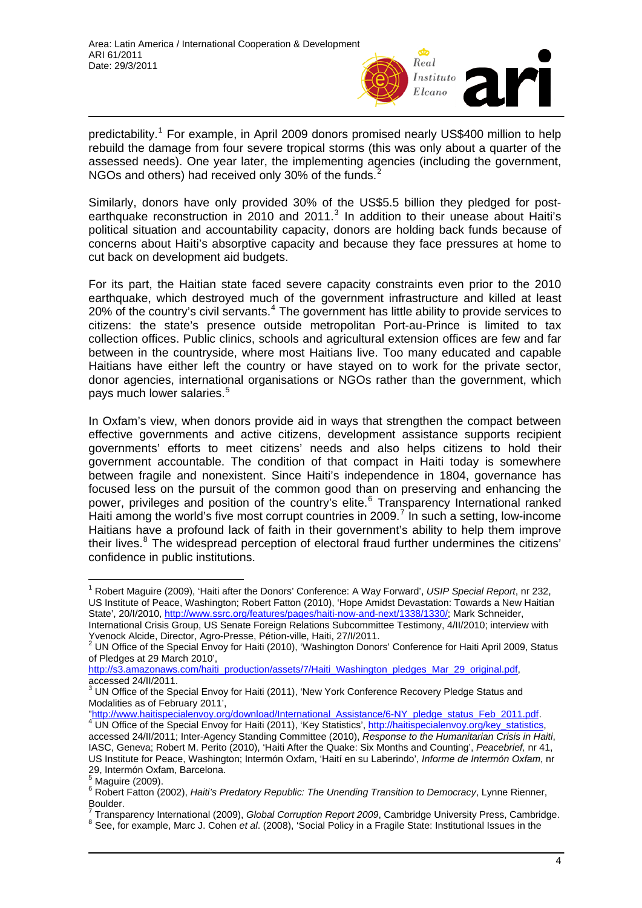

predictability.<sup>[1](#page-3-0)</sup> For example, in April 2009 donors promised nearly US\$400 million to help rebuild the damage from four severe tropical storms (this was only about a quarter of the assessed needs). One year later, the implementing agencies (including the government, NGOs and others) had received only 30% of the funds.<sup>[2](#page-3-1)</sup>

Similarly, donors have only provided 30% of the US\$5.5 billion they pledged for postearthquake reconstruction in 2010 and 2011. $3$  In addition to their unease about Haiti's political situation and accountability capacity, donors are holding back funds because of concerns about Haiti's absorptive capacity and because they face pressures at home to cut back on development aid budgets.

For its part, the Haitian state faced severe capacity constraints even prior to the 2010 earthquake, which destroyed much of the government infrastructure and killed at least 20% of the country's civil servants. $4$  The government has little ability to provide services to citizens: the state's presence outside metropolitan Port-au-Prince is limited to tax collection offices. Public clinics, schools and agricultural extension offices are few and far between in the countryside, where most Haitians live. Too many educated and capable Haitians have either left the country or have stayed on to work for the private sector, donor agencies, international organisations or NGOs rather than the government, which pays much lower salaries.<sup>[5](#page-3-4)</sup>

In Oxfam's view, when donors provide aid in ways that strengthen the compact between effective governments and active citizens, development assistance supports recipient governments' efforts to meet citizens' needs and also helps citizens to hold their government accountable. The condition of that compact in Haiti today is somewhere between fragile and nonexistent. Since Haiti's independence in 1804, governance has focused less on the pursuit of the common good than on preserving and enhancing the power, privileges and position of the country's elite.<sup>[6](#page-3-5)</sup> Transparency International ranked Haiti among the world's five most corrupt countries in 2009.<sup>[7](#page-3-6)</sup> In such a setting, low-income Haitians have a profound lack of faith in their government's ability to help them improve their lives.<sup>[8](#page-3-7)</sup> The widespread perception of electoral fraud further undermines the citizens' confidence in public institutions.

[http://s3.amazonaws.com/haiti\\_production/assets/7/Haiti\\_Washington\\_pledges\\_Mar\\_29\\_original.pdf](http://s3.amazonaws.com/haiti_production/assets/7/Haiti_Washington_pledges_Mar_29_original.pdf), accessed 24/II/2011.

<span id="page-3-0"></span> $\overline{1}$ 1 Robert Maguire (2009), 'Haiti after the Donors' Conference: A Way Forward', *USIP Special Report*, nr 232, US Institute of Peace, Washington; Robert Fatton (2010), 'Hope Amidst Devastation: Towards a New Haitian State', 20/I/2010, <http://www.ssrc.org/features/pages/haiti-now-and-next/1338/1330/>; Mark Schneider,

International Crisis Group, US Senate Foreign Relations Subcommittee Testimony, 4/II/2010; interview with Yvenock Alcide, Director, Agro-Presse, Pétion-ville, Haiti, 27/I/2011.

<span id="page-3-1"></span> $2$  UN Office of the Special Envoy for Haiti (2010), 'Washington Donors' Conference for Haiti April 2009, Status of Pledges at 29 March 2010',

<span id="page-3-2"></span> $3$  UN Office of the Special Envoy for Haiti (2011), 'New York Conference Recovery Pledge Status and Modalities as of February 2011',

<sup>&</sup>quot;<u>http://www.haitispecialenvoy.org/download/International\_Assistance/6-NY\_pledge\_status\_Feb\_2011.pdf</u>.<br><sup>[4](http://www.haitispecialenvoy.org/download/International_Assistance/6-NY_pledge_status_Feb_2011.pdf)</sup> UN Office of the Special Envoy for Haiti (2011), 'Key Statistics', <u>[http://haitispecialenvoy.org/key\\_statistics](http://haitispecialenvoy.org/key_statistics),</u>

<span id="page-3-3"></span>accessed 24/II/2011; Inter-Agency Standing Committee (2010), *Response to the Humanitarian Crisis in Haiti*, IASC, Geneva; Robert M. Perito (2010), 'Haiti After the Quake: Six Months and Counting', *Peacebrief,* nr 41, US Institute for Peace, Washington; Intermón Oxfam, 'Haití en su Laberindo', *Informe de Intermón Oxfam*, nr 29, Intermón Oxfam, Barcelona.<br><sup>5</sup> Maguire (2000)

Maguire (2009).

<span id="page-3-5"></span><span id="page-3-4"></span><sup>6</sup> Robert Fatton (2002), *Haiti's Predatory Republic: The Unending Transition to Democracy*, Lynne Rienner, Boulder.

<span id="page-3-7"></span><span id="page-3-6"></span><sup>&</sup>lt;sup>7</sup> Transparency International (2009), *Global Corruption Report 2009*, Cambridge University Press, Cambridge.<br><sup>8</sup> See, for example, Mare J. Ceben et al. (2008), 'Seejal Poliavin a Fragile State: Institutional Jacuae in th See, for example, Marc J. Cohen *et al*. (2008), 'Social Policy in a Fragile State: Institutional Issues in the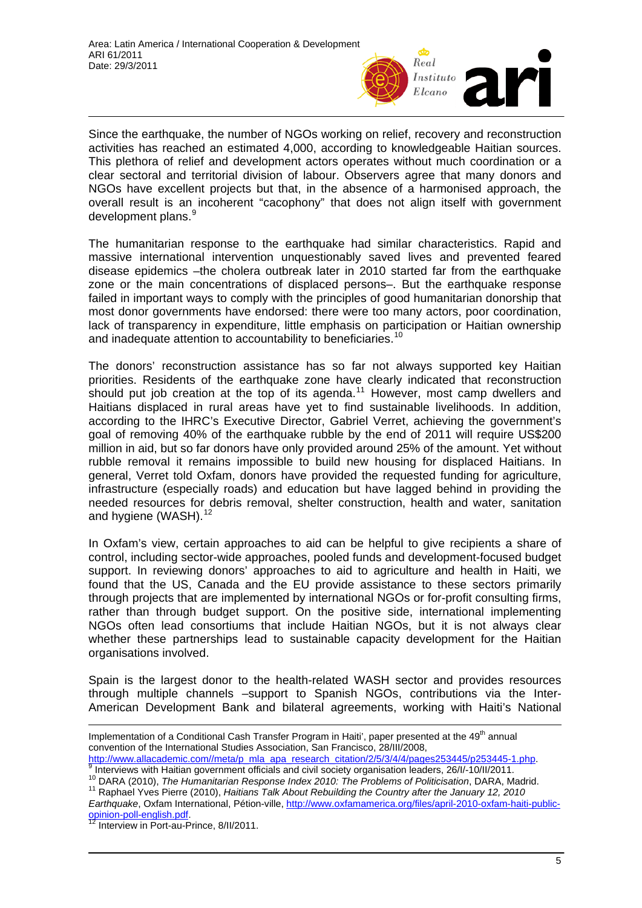

Since the earthquake, the number of NGOs working on relief, recovery and reconstruction activities has reached an estimated 4,000, according to knowledgeable Haitian sources. This plethora of relief and development actors operates without much coordination or a clear sectoral and territorial division of labour. Observers agree that many donors and NGOs have excellent projects but that, in the absence of a harmonised approach, the overall result is an incoherent "cacophony" that does not align itself with government development plans.<sup>[9](#page-4-0)</sup>

The humanitarian response to the earthquake had similar characteristics. Rapid and massive international intervention unquestionably saved lives and prevented feared disease epidemics –the cholera outbreak later in 2010 started far from the earthquake zone or the main concentrations of displaced persons–. But the earthquake response failed in important ways to comply with the principles of good humanitarian donorship that most donor governments have endorsed: there were too many actors, poor coordination, lack of transparency in expenditure, little emphasis on participation or Haitian ownership and inadequate attention to accountability to beneficiaries.<sup>[10](#page-4-1)</sup>

The donors' reconstruction assistance has so far not always supported key Haitian priorities. Residents of the earthquake zone have clearly indicated that reconstruction should put job creation at the top of its agenda.<sup>[11](#page-4-2)</sup> However, most camp dwellers and Haitians displaced in rural areas have yet to find sustainable livelihoods. In addition, according to the IHRC's Executive Director, Gabriel Verret, achieving the government's goal of removing 40% of the earthquake rubble by the end of 2011 will require US\$200 million in aid, but so far donors have only provided around 25% of the amount. Yet without rubble removal it remains impossible to build new housing for displaced Haitians. In general, Verret told Oxfam, donors have provided the requested funding for agriculture, infrastructure (especially roads) and education but have lagged behind in providing the needed resources for debris removal, shelter construction, health and water, sanitation and hygiene (WASH).<sup>[12](#page-4-3)</sup>

In Oxfam's view, certain approaches to aid can be helpful to give recipients a share of control, including sector-wide approaches, pooled funds and development-focused budget support. In reviewing donors' approaches to aid to agriculture and health in Haiti, we found that the US, Canada and the EU provide assistance to these sectors primarily through projects that are implemented by international NGOs or for-profit consulting firms, rather than through budget support. On the positive side, international implementing NGOs often lead consortiums that include Haitian NGOs, but it is not always clear whether these partnerships lead to sustainable capacity development for the Haitian organisations involved.

Spain is the largest donor to the health-related WASH sector and provides resources through multiple channels –support to Spanish NGOs, contributions via the Inter-American Development Bank and bilateral agreements, working with Haiti's National

<span id="page-4-3"></span><span id="page-4-2"></span>*Earthquake*, Oxfam International, Pétion-ville, [http://www.oxfamamerica.org/files/april-2010-oxfam-haiti-public](http://www.oxfamamerica.org/files/april-2010-oxfam-haiti-public-opinion-poll-english.pdf)[opinion-poll-english.pdf.](http://www.oxfamamerica.org/files/april-2010-oxfam-haiti-public-opinion-poll-english.pdf)<br><sup>12</sup> Interview in Port-au-Prince, 8/II/2011.

Implementation of a Conditional Cash Transfer Program in Haiti', paper presented at the 49<sup>th</sup> annual convention of the International Studies Association, San Francisco, 28/III/2008,

[http://www.allacademic.com//meta/p\\_mla\\_apa\\_research\\_citation/2/5/3/4/4/pages253445/p253445-1.php.](http://www.allacademic.com//meta/p_mla_apa_research_citation/2/5/3/4/4/pages253445/p253445-1.php)<br>[9](http://www.allacademic.com//meta/p_mla_apa_research_citation/2/5/3/4/4/pages253445/p253445-1.php) Interviews with Haitian government officials and civil society organisation leaders, 26/l/-10/II/2011.

<span id="page-4-1"></span><span id="page-4-0"></span><sup>&</sup>lt;sup>10</sup> DARA (2010), *The Humanitarian Response Index 2010: The Problems of Politicisation*, DARA, Madrid.<br><sup>11</sup> Raphael Yves Pierre (2010), *Haitians Talk About Rebuilding the Country after the January 12, 2010*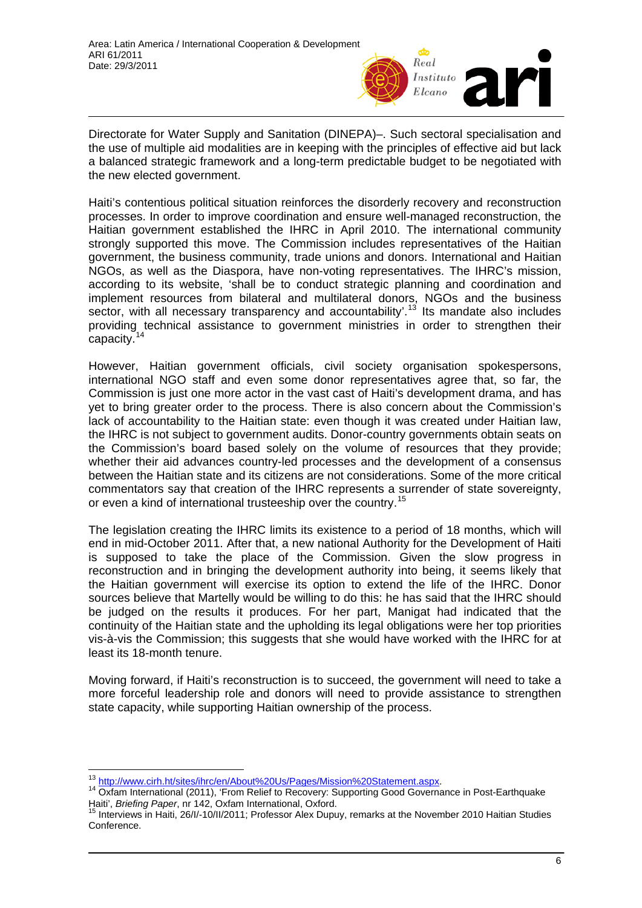

Directorate for Water Supply and Sanitation (DINEPA)–. Such sectoral specialisation and the use of multiple aid modalities are in keeping with the principles of effective aid but lack a balanced strategic framework and a long-term predictable budget to be negotiated with the new elected government.

Haiti's contentious political situation reinforces the disorderly recovery and reconstruction processes. In order to improve coordination and ensure well-managed reconstruction, the Haitian government established the IHRC in April 2010. The international community strongly supported this move. The Commission includes representatives of the Haitian government, the business community, trade unions and donors. International and Haitian NGOs, as well as the Diaspora, have non-voting representatives. The IHRC's mission, according to its website, 'shall be to conduct strategic planning and coordination and implement resources from bilateral and multilateral donors, NGOs and the business sector, with all necessary transparency and accountability'.<sup>[13](#page-5-0)</sup> Its mandate also includes providing technical assistance to government ministries in order to strengthen their capacity.<sup>[14](#page-5-1)</sup>

However, Haitian government officials, civil society organisation spokespersons, international NGO staff and even some donor representatives agree that, so far, the Commission is just one more actor in the vast cast of Haiti's development drama, and has yet to bring greater order to the process. There is also concern about the Commission's lack of accountability to the Haitian state: even though it was created under Haitian law, the IHRC is not subject to government audits. Donor-country governments obtain seats on the Commission's board based solely on the volume of resources that they provide; whether their aid advances country-led processes and the development of a consensus between the Haitian state and its citizens are not considerations. Some of the more critical commentators say that creation of the IHRC represents a surrender of state sovereignty, or even a kind of international trusteeship over the country.[15](#page-5-2)

The legislation creating the IHRC limits its existence to a period of 18 months, which will end in mid-October 2011. After that, a new national Authority for the Development of Haiti is supposed to take the place of the Commission. Given the slow progress in reconstruction and in bringing the development authority into being, it seems likely that the Haitian government will exercise its option to extend the life of the IHRC. Donor sources believe that Martelly would be willing to do this: he has said that the IHRC should be judged on the results it produces. For her part, Manigat had indicated that the continuity of the Haitian state and the upholding its legal obligations were her top priorities vis-à-vis the Commission; this suggests that she would have worked with the IHRC for at least its 18-month tenure.

Moving forward, if Haiti's reconstruction is to succeed, the government will need to take a more forceful leadership role and donors will need to provide assistance to strengthen state capacity, while supporting Haitian ownership of the process.

<sup>&</sup>lt;sup>13</sup> http://www.cirh.ht/sites/ihrc/en/About%20Us/Pages/Mission%20Statement.aspx.

<span id="page-5-1"></span><span id="page-5-0"></span><sup>&</sup>lt;sup>14</sup> [Oxfam International \(2011\), 'From Relief to Recovery: Supporting Good Governa](http://www.cirh.ht/sites/ihrc/en/About%20Us/Pages/Mission%20Statement.aspx)nce in Post-Earthquake Haiti', *Briefing Paper*, nr 142, Oxfam International, Oxford.<br><sup>15</sup> Interviews in Haiti, 26/I/-10/II/2011; Professor Alex Dupuy, remarks at the November 2010 Haitian Studies

<span id="page-5-2"></span>Conference.